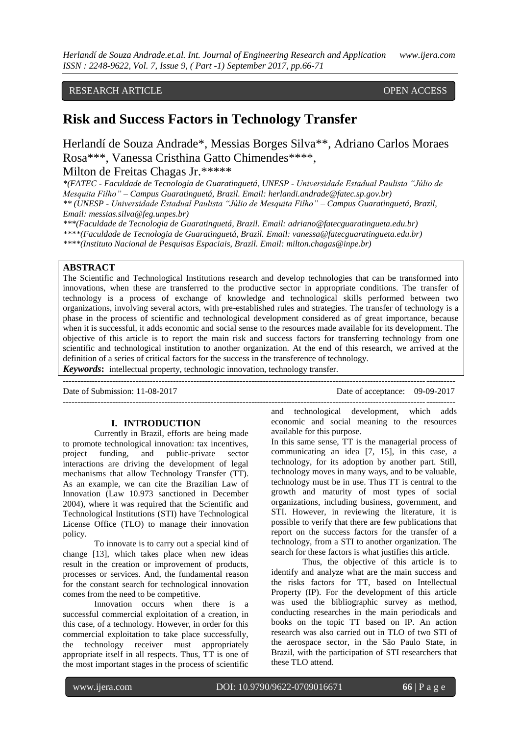### RESEARCH ARTICLE **CONSERVERS** OPEN ACCESS

# **Risk and Success Factors in Technology Transfer**

Herlandí de Souza Andrade\*, Messias Borges Silva\*\*, Adriano Carlos Moraes Rosa\*\*\*, Vanessa Cristhina Gatto Chimendes\*\*\*\*,

Milton de Freitas Chagas Jr.\*\*\*\*\*

*\*(FATEC - Faculdade de Tecnologia de Guaratinguetá, UNESP - Universidade Estadual Paulista "Júlio de Mesquita Filho" – Campus Guaratinguetá, Brazil. Email: herlandi.andrade@fatec.sp.gov.br) \*\* (UNESP - Universidade Estadual Paulista "Júlio de Mesquita Filho" – Campus Guaratinguetá, Brazil, Email: messias.silva@feg.unpes.br)*

*\*\*\*(Faculdade de Tecnologia de Guaratinguetá, Brazil. Email: adriano@fatecguaratingueta.edu.br)*

*\*\*\*\*(Faculdade de Tecnologia de Guaratinguetá, Brazil. Email: vanessa@fatecguaratingueta.edu.br)*

*\*\*\*\*(Instituto Nacional de Pesquisas Espaciais, Brazil. Email: milton.chagas@inpe.br)*

#### **ABSTRACT**

The Scientific and Technological Institutions research and develop technologies that can be transformed into innovations, when these are transferred to the productive sector in appropriate conditions. The transfer of technology is a process of exchange of knowledge and technological skills performed between two organizations, involving several actors, with pre-established rules and strategies. The transfer of technology is a phase in the process of scientific and technological development considered as of great importance, because when it is successful, it adds economic and social sense to the resources made available for its development. The objective of this article is to report the main risk and success factors for transferring technology from one scientific and technological institution to another organization. At the end of this research, we arrived at the definition of a series of critical factors for the success in the transference of technology. *Keywords***:** intellectual property, technologic innovation, technology transfer.

| <b>ILE FROMES.</b> Interfectual property, technologic filmovation, technology transier. |                                |  |  |  |
|-----------------------------------------------------------------------------------------|--------------------------------|--|--|--|
|                                                                                         |                                |  |  |  |
| Date of Submission: 11-08-2017                                                          | Date of acceptance: 09-09-2017 |  |  |  |

#### **I. INTRODUCTION**

Currently in Brazil, efforts are being made to promote technological innovation: tax incentives, project funding, and public-private sector interactions are driving the development of legal mechanisms that allow Technology Transfer (TT). As an example, we can cite the Brazilian Law of Innovation (Law 10.973 sanctioned in December 2004), where it was required that the Scientific and Technological Institutions (STI) have Technological License Office (TLO) to manage their innovation policy.

To innovate is to carry out a special kind of change [13], which takes place when new ideas result in the creation or improvement of products, processes or services. And, the fundamental reason for the constant search for technological innovation comes from the need to be competitive.

Innovation occurs when there is a successful commercial exploitation of a creation, in this case, of a technology. However, in order for this commercial exploitation to take place successfully, the technology receiver must appropriately appropriate itself in all respects. Thus, TT is one of the most important stages in the process of scientific

**--------------------------------------------------------------------------------------------------------------------------------------** and technological development, which adds economic and social meaning to the resources available for this purpose.

> In this same sense, TT is the managerial process of communicating an idea [7, 15], in this case, a technology, for its adoption by another part. Still, technology moves in many ways, and to be valuable, technology must be in use. Thus TT is central to the growth and maturity of most types of social organizations, including business, government, and STI. However, in reviewing the literature, it is possible to verify that there are few publications that report on the success factors for the transfer of a technology, from a STI to another organization. The search for these factors is what justifies this article.

> Thus, the objective of this article is to identify and analyze what are the main success and the risks factors for TT, based on Intellectual Property (IP). For the development of this article was used the bibliographic survey as method, conducting researches in the main periodicals and books on the topic TT based on IP. An action research was also carried out in TLO of two STI of the aerospace sector, in the São Paulo State, in Brazil, with the participation of STI researchers that these TLO attend.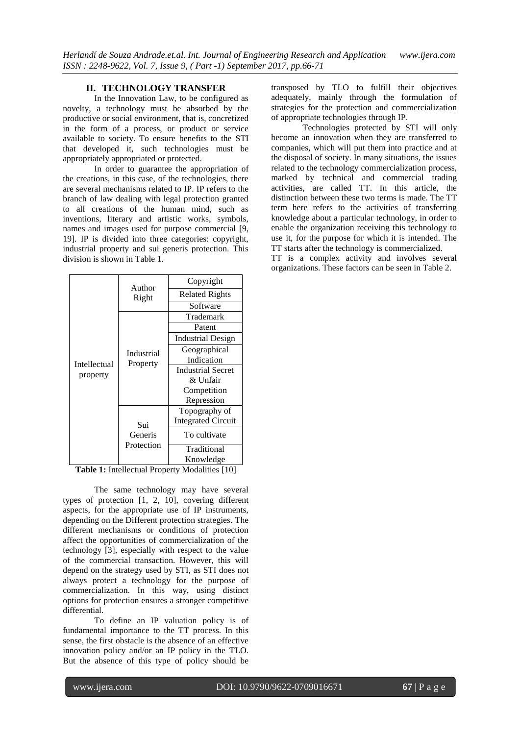#### **II. TECHNOLOGY TRANSFER**

In the Innovation Law, to be configured as novelty, a technology must be absorbed by the productive or social environment, that is, concretized in the form of a process, or product or service available to society. To ensure benefits to the STI that developed it, such technologies must be appropriately appropriated or protected.

In order to guarantee the appropriation of the creations, in this case, of the technologies, there are several mechanisms related to IP. IP refers to the branch of law dealing with legal protection granted to all creations of the human mind, such as inventions, literary and artistic works, symbols, names and images used for purpose commercial [9, 19]. IP is divided into three categories: copyright, industrial property and sui generis protection. This division is shown in Table 1.

| Intellectual<br>property | Author<br>Right              | Copyright                 |
|--------------------------|------------------------------|---------------------------|
|                          |                              | <b>Related Rights</b>     |
|                          |                              | Software                  |
|                          | Industrial<br>Property       | Trademark                 |
|                          |                              | Patent                    |
|                          |                              | <b>Industrial Design</b>  |
|                          |                              | Geographical              |
|                          |                              | Indication                |
|                          |                              | <b>Industrial Secret</b>  |
|                          |                              | & Unfair                  |
|                          |                              | Competition               |
|                          |                              | Repression                |
|                          | Sui<br>Generis<br>Protection | Topography of             |
|                          |                              | <b>Integrated Circuit</b> |
|                          |                              | To cultivate              |
|                          |                              | Traditional               |
|                          |                              | Knowledge                 |

**Table 1:** Intellectual Property Modalities [10]

The same technology may have several types of protection [1, 2, 10], covering different aspects, for the appropriate use of IP instruments, depending on the Different protection strategies. The different mechanisms or conditions of protection affect the opportunities of commercialization of the technology [3], especially with respect to the value of the commercial transaction. However, this will depend on the strategy used by STI, as STI does not always protect a technology for the purpose of commercialization. In this way, using distinct options for protection ensures a stronger competitive differential.

To define an IP valuation policy is of fundamental importance to the TT process. In this sense, the first obstacle is the absence of an effective innovation policy and/or an IP policy in the TLO. But the absence of this type of policy should be

transposed by TLO to fulfill their objectives adequately, mainly through the formulation of strategies for the protection and commercialization of appropriate technologies through IP.

Technologies protected by STI will only become an innovation when they are transferred to companies, which will put them into practice and at the disposal of society. In many situations, the issues related to the technology commercialization process, marked by technical and commercial trading activities, are called TT. In this article, the distinction between these two terms is made. The TT term here refers to the activities of transferring knowledge about a particular technology, in order to enable the organization receiving this technology to use it, for the purpose for which it is intended. The TT starts after the technology is commercialized.

TT is a complex activity and involves several organizations. These factors can be seen in Table 2.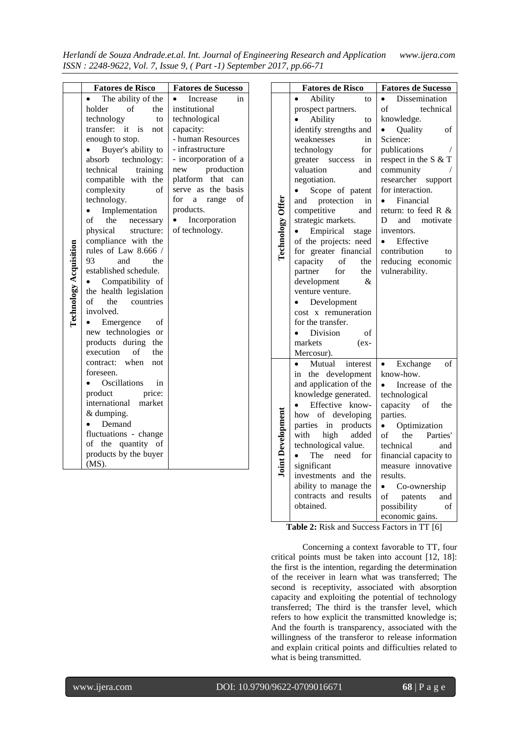*Herlandí de Souza Andrade.et.al. Int. Journal of Engineering Research and Application www.ijera.com ISSN : 2248-9622, Vol. 7, Issue 9, ( Part -1) September 2017, pp.66-71*

|                        | <b>Fatores de Risco</b>                       | <b>Fatores de Sucesso</b>       |
|------------------------|-----------------------------------------------|---------------------------------|
|                        | The ability of the                            | Increase<br>in                  |
|                        | holder<br>of<br>the                           | institutional                   |
|                        | technology<br>to                              | technological                   |
|                        | transfer:<br>it<br>is<br>not                  | capacity:                       |
|                        | enough to stop.                               | - human Resources               |
|                        | Buyer's ability to                            | - infrastructure                |
|                        | technology:<br>absorb                         | - incorporation of a            |
|                        | technical<br>training                         | production<br>new               |
|                        | compatible with the                           | platform<br>that<br>can         |
|                        | complexity<br>of                              | basis<br>the<br>serve as        |
|                        | technology.                                   | for<br>range<br>οf<br>a         |
|                        | Implementation                                | products.                       |
|                        | of<br>the<br>necessary                        | Incorporation<br>of technology. |
|                        | physical<br>structure:<br>compliance with the |                                 |
|                        | rules of Law 8.666 /                          |                                 |
|                        | 93<br>and<br>the                              |                                 |
|                        | established schedule.                         |                                 |
|                        | Compatibility of                              |                                 |
| Technology Acquisition | the health legislation                        |                                 |
|                        | of<br>the<br>countries                        |                                 |
|                        | involved.                                     |                                 |
|                        | Emergence<br>οf                               |                                 |
|                        | new technologies<br><sub>or</sub>             |                                 |
|                        | products during<br>the                        |                                 |
|                        | execution<br>of<br>the                        |                                 |
|                        | when<br>contract:<br>not                      |                                 |
|                        | foreseen.                                     |                                 |
|                        | Oscillations<br>in                            |                                 |
|                        | product<br>price:                             |                                 |
|                        | international<br>market                       |                                 |
|                        | $&$ dumping.                                  |                                 |
|                        | Demand                                        |                                 |
|                        | fluctuations - change                         |                                 |
|                        | quantity<br>of<br>the<br>of                   |                                 |
|                        | products by the buyer                         |                                 |
|                        | $(MS)$ .                                      |                                 |

|                          | <b>Fatores de Risco</b>                      | <b>Fatores de Sucesso</b>                                 |  |
|--------------------------|----------------------------------------------|-----------------------------------------------------------|--|
|                          | Ability<br>to                                | Dissemination                                             |  |
|                          | prospect partners.                           | of<br>technical                                           |  |
|                          | Ability<br>to                                | knowledge.                                                |  |
|                          | identify strengths and                       | Quality<br>of                                             |  |
|                          | weaknesses<br>in                             | Science:                                                  |  |
|                          | technology<br>for                            | publications                                              |  |
|                          | in<br>greater success                        | respect in the S & T                                      |  |
|                          | valuation<br>and                             | community                                                 |  |
|                          | negotiation.                                 | researcher support                                        |  |
|                          | Scope of patent                              | for interaction.                                          |  |
|                          | and protection<br>in                         | $\bullet$ Financial                                       |  |
|                          | competitive<br>and                           | return: to feed R &                                       |  |
|                          | strategic markets.                           | D<br>and motivate                                         |  |
|                          | Empirical stage                              | inventors.                                                |  |
|                          | of the projects: need                        | Effective                                                 |  |
| Technology               | for greater financial                        | contribution<br>to                                        |  |
|                          | capacity<br>of<br>the<br>the                 | reducing economic                                         |  |
|                          | partner<br>for                               | vulnerability.                                            |  |
|                          | development<br>&                             |                                                           |  |
|                          | venture venture.                             |                                                           |  |
|                          | Development                                  |                                                           |  |
|                          | cost x remuneration                          |                                                           |  |
|                          | for the transfer.                            |                                                           |  |
|                          | Division<br>of                               |                                                           |  |
|                          | markets<br>$(ex-$                            |                                                           |  |
|                          | Mercosur).                                   |                                                           |  |
|                          | Mutual<br>interest                           | Exchange<br>of                                            |  |
|                          | in the development                           | know-how.                                                 |  |
|                          | and application of the                       | Increase of the                                           |  |
|                          | knowledge generated.                         | technological                                             |  |
|                          | Effective know-                              | capacity of<br>the                                        |  |
|                          | how of developing                            | parties.                                                  |  |
|                          | parties in products                          | Optimization                                              |  |
|                          | with high<br>added                           | of<br>the Parties'                                        |  |
| <b>Joint Development</b> | technological value.                         | technical<br>and                                          |  |
|                          | The need for                                 | financial capacity to<br>measure innovative               |  |
|                          | significant                                  | results.                                                  |  |
|                          | investments and the<br>ability to manage the |                                                           |  |
|                          |                                              | Co-ownership                                              |  |
|                          |                                              |                                                           |  |
|                          |                                              |                                                           |  |
|                          | contracts and results<br>obtained.           | of<br>patents and<br>possibility<br>of<br>economic gains. |  |

**Table 2:** Risk and Success Factors in TT [6]

Concerning a context favorable to TT, four critical points must be taken into account [12, 18]: the first is the intention, regarding the determination of the receiver in learn what was transferred; The second is receptivity, associated with absorption capacity and exploiting the potential of technology transferred; The third is the transfer level, which refers to how explicit the transmitted knowledge is; And the fourth is transparency, associated with the willingness of the transferor to release information and explain critical points and difficulties related to what is being transmitted.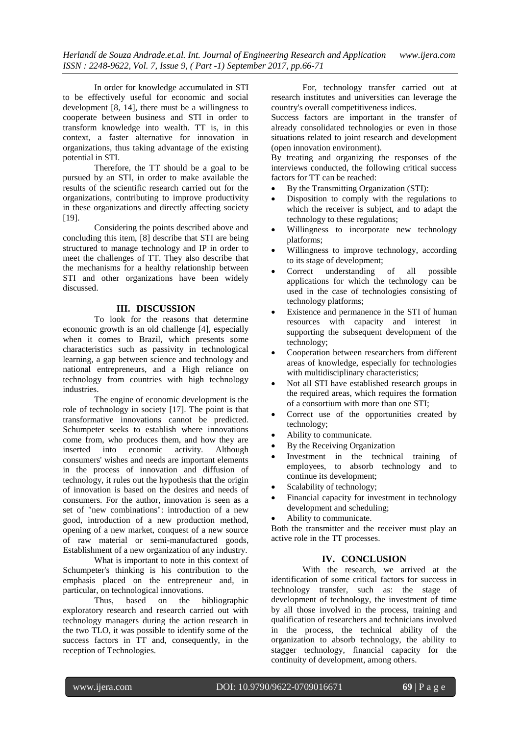In order for knowledge accumulated in STI to be effectively useful for economic and social development [8, 14], there must be a willingness to cooperate between business and STI in order to transform knowledge into wealth. TT is, in this context, a faster alternative for innovation in organizations, thus taking advantage of the existing potential in STI.

Therefore, the TT should be a goal to be pursued by an STI, in order to make available the results of the scientific research carried out for the organizations, contributing to improve productivity in these organizations and directly affecting society [19].

Considering the points described above and concluding this item, [8] describe that STI are being structured to manage technology and IP in order to meet the challenges of TT. They also describe that the mechanisms for a healthy relationship between STI and other organizations have been widely discussed.

#### **III. DISCUSSION**

To look for the reasons that determine economic growth is an old challenge [4], especially when it comes to Brazil, which presents some characteristics such as passivity in technological learning, a gap between science and technology and national entrepreneurs, and a High reliance on technology from countries with high technology industries.

The engine of economic development is the role of technology in society [17]. The point is that transformative innovations cannot be predicted. Schumpeter seeks to establish where innovations come from, who produces them, and how they are inserted into economic activity. Although consumers' wishes and needs are important elements in the process of innovation and diffusion of technology, it rules out the hypothesis that the origin of innovation is based on the desires and needs of consumers. For the author, innovation is seen as a set of "new combinations": introduction of a new good, introduction of a new production method, opening of a new market, conquest of a new source of raw material or semi-manufactured goods, Establishment of a new organization of any industry.

What is important to note in this context of Schumpeter's thinking is his contribution to the emphasis placed on the entrepreneur and, in particular, on technological innovations.

Thus, based on the bibliographic exploratory research and research carried out with technology managers during the action research in the two TLO, it was possible to identify some of the success factors in TT and, consequently, in the reception of Technologies.

For, technology transfer carried out at research institutes and universities can leverage the country's overall competitiveness indices.

Success factors are important in the transfer of already consolidated technologies or even in those situations related to joint research and development (open innovation environment).

By treating and organizing the responses of the interviews conducted, the following critical success factors for TT can be reached:

- By the Transmitting Organization (STI):
- Disposition to comply with the regulations to which the receiver is subject, and to adapt the technology to these regulations;
- Willingness to incorporate new technology platforms;
- Willingness to improve technology, according to its stage of development;
- Correct understanding of all possible applications for which the technology can be used in the case of technologies consisting of technology platforms;
- Existence and permanence in the STI of human resources with capacity and interest in supporting the subsequent development of the technology;
- Cooperation between researchers from different areas of knowledge, especially for technologies with multidisciplinary characteristics;
- Not all STI have established research groups in the required areas, which requires the formation of a consortium with more than one STI;
- Correct use of the opportunities created by technology;
- Ability to communicate.
- By the Receiving Organization
- Investment in the technical training of employees, to absorb technology and to continue its development;
- Scalability of technology;
- Financial capacity for investment in technology development and scheduling;
- Ability to communicate.

Both the transmitter and the receiver must play an active role in the TT processes.

## **IV. CONCLUSION**

With the research, we arrived at the identification of some critical factors for success in technology transfer, such as: the stage of development of technology, the investment of time by all those involved in the process, training and qualification of researchers and technicians involved in the process, the technical ability of the organization to absorb technology, the ability to stagger technology, financial capacity for the continuity of development, among others.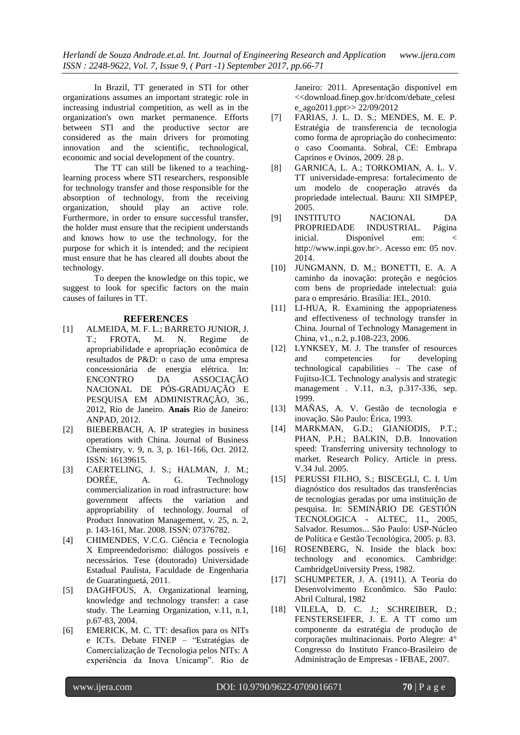In Brazil, TT generated in STI for other organizations assumes an important strategic role in increasing industrial competition, as well as in the organization's own market permanence. Efforts between STI and the productive sector are considered as the main drivers for promoting innovation and the scientific, technological, economic and social development of the country.

The TT can still be likened to a teachinglearning process where STI researchers, responsible for technology transfer and those responsible for the absorption of technology, from the receiving organization, should play an active role. Furthermore, in order to ensure successful transfer, the holder must ensure that the recipient understands and knows how to use the technology, for the purpose for which it is intended; and the recipient must ensure that he has cleared all doubts about the technology.

To deepen the knowledge on this topic, we suggest to look for specific factors on the main causes of failures in TT.

#### **REFERENCES**

- [1] ALMEIDA, M. F. L.; BARRETO JUNIOR, J. T.; FROTA, M. N. Regime de apropriabilidade e apropriação econômica de resultados de P&D: o caso de uma empresa concessionária de energia elétrica. In: ENCONTRO DA ASSOCIAÇÃO NACIONAL DE PÓS-GRADUAÇÃO E PESQUISA EM ADMINISTRAÇÃO, 36., 2012, Rio de Janeiro. **Anais** Rio de Janeiro: ANPAD, 2012.
- [2] BIEBERBACH, A. IP strategies in business operations with China. Journal of Business Chemistry, v. 9, n. 3, p. 161-166, Oct. 2012. ISSN: 16139615.
- [3] CAERTELING, J. S.; HALMAN, J. M.; DORÉE, A. G. Technology commercialization in road infrastructure: how government affects the variation and appropriability of technology. Journal of Product Innovation Management, v. 25, n. 2, p. 143-161, Mar. 2008. ISSN: 07376782.
- [4] CHIMENDES, V.C.G. Ciência e Tecnologia X Empreendedorismo: diálogos possíveis e necessários. Tese (doutorado) Universidade Estadual Paulista, Faculdade de Engenharia de Guaratinguetá, 2011.
- [5] DAGHFOUS, A. Organizational learning, knowledge and technology transfer: a case study. The Learning Organization, v.11, n.1, p.67-83, 2004.
- [6] EMERICK, M. C. TT: desafios para os NITs e ICTs. Debate FINEP – "Estratégias de Comercialização de Tecnologia pelos NITs: A experiência da Inova Unicamp". Rio de

Janeiro: 2011. Apresentação disponível em <<download.finep.gov.br/dcom/debate\_celest e\_ago2011.ppt>> 22/09/2012

- [7] FARIAS, J. L. D. S.; MENDES, M. E. P. Estratégia de transferencia de tecnologia como forma de apropriação do conhecimento: o caso Coomanta. Sobral, CE: Embrapa Caprinos e Ovinos, 2009. 28 p.
- [8] GARNICA, L. A.; TORKOMIAN, A. L. V. TT universidade-empresa: fortalecimento de um modelo de cooperação através da propriedade intelectual. Bauru: XII SIMPEP, 2005.
- [9] INSTITUTO NACIONAL DA PROPRIEDADE INDUSTRIAL. Página inicial. Disponível em: http://www.inpi.gov.br>. Acesso em: 05 nov. 2014.
- [10] JUNGMANN, D. M.; BONETTI, E. A. A caminho da inovação: proteção e negócios com bens de propriedade intelectual: guia para o empresário. Brasília: IEL, 2010.
- [11] LI-HUA, R. Examining the appopriateness and effectiveness of technology transfer in China. Journal of Technology Management in China, v1., n.2, p.108-223, 2006.
- [12] LYNKSEY, M. J. The transfer of resources<br>and competencies for developing and competencies for developing technological capabilities – The case of Fujitsu-ICL Technology analysis and strategic management . V.11, n.3, p.317-336, sep. 1999.
- [13] MAÑAS, A. V. Gestão de tecnologia e inovação. São Paulo: Érica, 1993.
- [14] MARKMAN, G.D.; GIANIODIS, P.T.; PHAN, P.H.; BALKIN, D.B. Innovation speed: Transferring university technology to market. Research Policy. Article in press. V.34 Jul. 2005.
- [15] PERUSSI FILHO, S.; BISCEGLI, C. I. Um diagnóstico dos resultados das transferências de tecnologias geradas por uma instituição de pesquisa. In: SEMINÁRIO DE GESTIÓN TECNOLOGICA - ALTEC, 11., 2005, Salvador. Resumos... São Paulo: USP-Núcleo de Política e Gestão Tecnológica, 2005. p. 83.
- [16] ROSENBERG, N. Inside the black box: technology and economics. Cambridge: CambridgeUniversity Press, 1982.
- [17] SCHUMPETER, J. A. (1911). A Teoria do Desenvolvimento Econômico. São Paulo: Abril Cultural, 1982
- [18] VILELA, D. C. J.; SCHREIBER, D.; FENSTERSEIFER, J. E. A TT como um componente da estratégia de produção de corporações multinacionais. Porto Alegre: 4° Congresso do Instituto Franco-Brasileiro de Administração de Empresas - IFBAE, 2007.